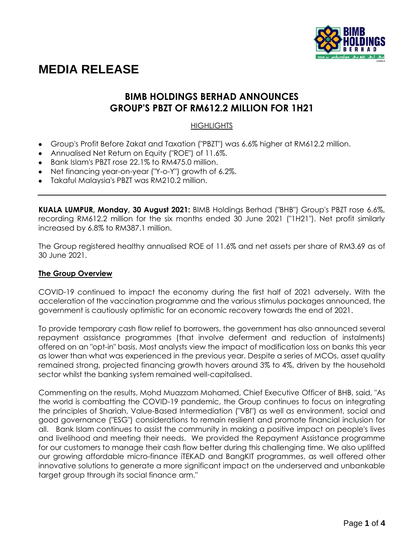

# **MEDIA RELEASE**

# **BIMB HOLDINGS BERHAD ANNOUNCES GROUP'S PBZT OF RM612.2 MILLION FOR 1H21**

# **HIGHLIGHTS**

- Group's Profit Before Zakat and Taxation ("PBZT") was 6.6% higher at RM612.2 million.
- Annualised Net Return on Equity ("ROE") of 11.6%.
- Bank Islam's PBZT rose 22.1% to RM475.0 million.
- Net financing year-on-year ("Y-o-Y") growth of 6.2%.
- Takaful Malaysia's PBZT was RM210.2 million.

**KUALA LUMPUR, Monday, 30 August 2021:** BIMB Holdings Berhad ("BHB") Group's PBZT rose 6.6%, recording RM612.2 million for the six months ended 30 June 2021 ("1H21"). Net profit similarly increased by 6.8% to RM387.1 million.

The Group registered healthy annualised ROE of 11.6% and net assets per share of RM3.69 as of 30 June 2021.

## **The Group Overview**

COVID-19 continued to impact the economy during the first half of 2021 adversely. With the acceleration of the vaccination programme and the various stimulus packages announced, the government is cautiously optimistic for an economic recovery towards the end of 2021.

To provide temporary cash flow relief to borrowers, the government has also announced several repayment assistance programmes (that involve deferment and reduction of instalments) offered on an "opt-in" basis. Most analysts view the impact of modification loss on banks this year as lower than what was experienced in the previous year. Despite a series of MCOs, asset quality remained strong, projected financing growth hovers around 3% to 4%, driven by the household sector whilst the banking system remained well-capitalised.

Commenting on the results, Mohd Muazzam Mohamed, Chief Executive Officer of BHB, said, "As the world is combatting the COVID-19 pandemic, the Group continues to focus on integrating the principles of Shariah, Value-Based Intermediation ("VBI") as well as environment, social and good governance ("ESG") considerations to remain resilient and promote financial inclusion for all. Bank Islam continues to assist the community in making a positive impact on people's lives and livelihood and meeting their needs. We provided the Repayment Assistance programme for our customers to manage their cash flow better during this challenging time. We also uplifted our growing affordable micro-finance iTEKAD and BangKIT programmes, as well offered other innovative solutions to generate a more significant impact on the underserved and unbankable target group through its social finance arm."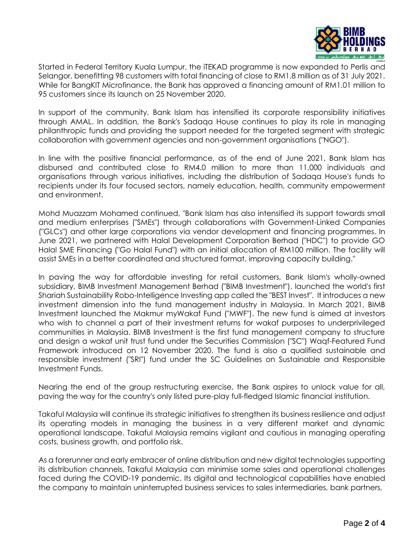

Started in Federal Territory Kuala Lumpur, the iTEKAD programme is now expanded to Perlis and Selangor, benefitting 98 customers with total financing of close to RM1.8 million as of 31 July 2021. While for BangKIT Microfinance, the Bank has approved a financing amount of RM1.01 million to 95 customers since its launch on 25 November 2020.

In support of the community, Bank Islam has intensified its corporate responsibility initiatives through AMAL. In addition, the Bank's Sadaqa House continues to play its role in managing philanthropic funds and providing the support needed for the targeted segment with strategic collaboration with government agencies and non-government organisations ("NGO").

In line with the positive financial performance, as of the end of June 2021, Bank Islam has disbursed and contributed close to RM4.0 million to more than 11,000 individuals and organisations through various initiatives, including the distribution of Sadaqa House's funds to recipients under its four focused sectors, namely education, health, community empowerment and environment.

Mohd Muazzam Mohamed continued, "Bank Islam has also intensified its support towards small and medium enterprises ("SMEs") through collaborations with Government-Linked Companies ("GLCs") and other large corporations via vendor development and financing programmes. In June 2021, we partnered with Halal Development Corporation Berhad ("HDC") to provide GO Halal SME Financing ("Go Halal Fund") with an initial allocation of RM100 million. The facility will assist SMEs in a better coordinated and structured format, improving capacity building."

In paving the way for affordable investing for retail customers, Bank Islam's wholly-owned subsidiary, BIMB Investment Management Berhad ("BIMB Investment"), launched the world's first Shariah Sustainability Robo-Intelligence Investing app called the "BEST Invest". It introduces a new investment dimension into the fund management industry in Malaysia. In March 2021, BIMB Investment launched the Makmur myWakaf Fund ("MWF"). The new fund is aimed at investors who wish to channel a part of their investment returns for wakaf purposes to underprivileged communities in Malaysia. BIMB Investment is the first fund management company to structure and design a wakaf unit trust fund under the Securities Commission ("SC") Waqf-Featured Fund Framework introduced on 12 November 2020. The fund is also a qualified sustainable and responsible investment ("SRI") fund under the SC Guidelines on Sustainable and Responsible Investment Funds.

Nearing the end of the group restructuring exercise, the Bank aspires to unlock value for all, paving the way for the country's only listed pure-play full-fledged Islamic financial institution.

Takaful Malaysia will continue its strategic initiatives to strengthen its business resilience and adjust its operating models in managing the business in a very different market and dynamic operational landscape. Takaful Malaysia remains vigilant and cautious in managing operating costs, business growth, and portfolio risk.

As a forerunner and early embracer of online distribution and new digital technologies supporting its distribution channels, Takaful Malaysia can minimise some sales and operational challenges faced during the COVID-19 pandemic. Its digital and technological capabilities have enabled the company to maintain uninterrupted business services to sales intermediaries, bank partners,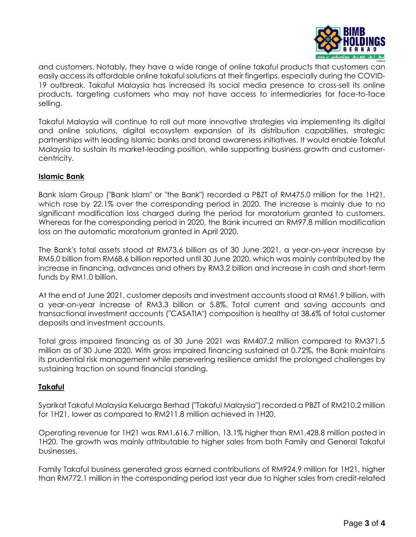

and customers. Notably, they have a wide range of online takaful products that customers can easily access its affordable online takaful solutions at their fingertips, especially during the COVID-19 outbreak. Takaful Malaysia has increased its social media presence to cross-sell its online products, targeting customers who may not have access to intermediaries for face-to-face selling.

Takaful Malaysia will continue to roll out more innovative strategies via implementing its digital and online solutions, digital ecosystem expansion of its distribution capabilities, strategic partnerships with leading Islamic banks and brand awareness initiatives. It would enable Takaful Malaysia to sustain its market-leading position, while supporting business growth and customercentricity.

## **Islamic Bank**

Bank Islam Group ("Bank Islam" or "the Bank") recorded a PBZT of RM475.0 million for the 1H21, which rose by 22.1% over the corresponding period in 2020. The increase is mainly due to no significant modification loss charged during the period for moratorium granted to customers. Whereas for the corresponding period in 2020, the Bank incurred an RM97.8 million modification loss on the automatic moratorium granted in April 2020.

The Bank's total assets stood at RM73.6 billion as of 30 June 2021, a year-on-year increase by RM5.0 billion from RM68.6 billion reported until 30 June 2020, which was mainly contributed by the increase in financing, advances and others by RM3.2 billion and increase in cash and short-term funds by RM1.0 billion.

At the end of June 2021, customer deposits and investment accounts stood at RM61.9 billion, with a year-on-year increase of RM3.3 billion or 5.8%. Total current and saving accounts and transactional investment accounts ("CASATIA") composition is healthy at 38.6% of total customer deposits and investment accounts.

Total gross impaired financing as of 30 June 2021 was RM407.2 million compared to RM371.5 million as of 30 June 2020. With gross impaired financing sustained at 0.72%, the Bank maintains its prudential risk management while persevering resilience amidst the prolonged challenges by sustaining traction on sound financial standing.

## **Takaful**

Syarikat Takaful Malaysia Keluarga Berhad ("Takaful Malaysia") recorded a PBZT of RM210.2 million for 1H21, lower as compared to RM211.8 million achieved in 1H20.

Operating revenue for 1H21 was RM1,616.7 million, 13.1% higher than RM1,428.8 million posted in 1H20. The growth was mainly attributable to higher sales from both Family and General Takaful businesses.

Family Takaful business generated gross earned contributions of RM924.9 million for 1H21, higher than RM772.1 million in the corresponding period last year due to higher sales from credit-related